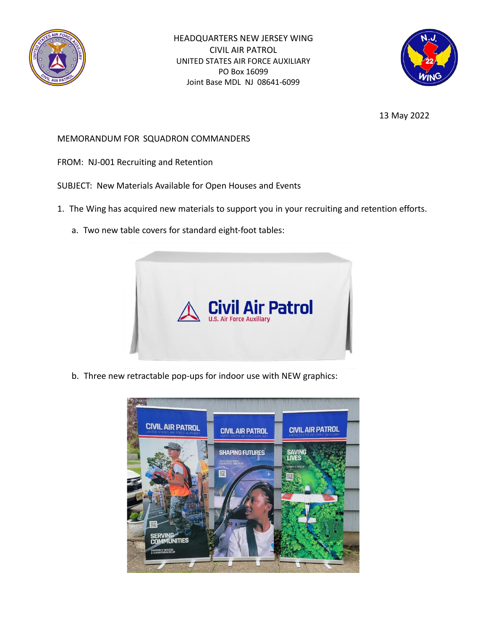

HEADQUARTERS NEW JERSEY WING CIVIL AIR PATROL UNITED STATES AIR FORCE AUXILIARY PO Box 16099 Joint Base MDL NJ 08641-6099



13 May 2022

## MEMORANDUM FOR SQUADRON COMMANDERS

- FROM: NJ-001 Recruiting and Retention
- SUBJECT: New Materials Available for Open Houses and Events
- 1. The Wing has acquired new materials to support you in your recruiting and retention efforts.
	- a. Two new table covers for standard eight-foot tables:



b. Three new retractable pop-ups for indoor use with NEW graphics: